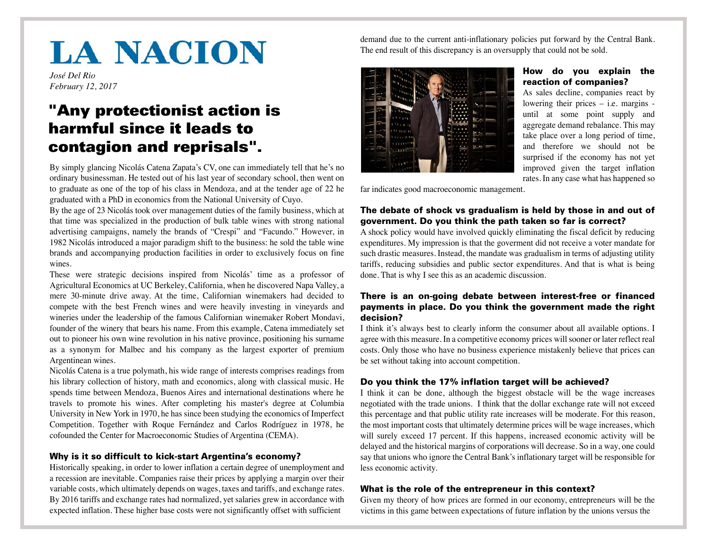# **LA NACION**

*José Del Rio February 12, 2017*

# "Any protectionist action is harmful since it leads to contagion and reprisals".

By simply glancing Nicolás Catena Zapata's CV, one can immediately tell that he's no ordinary businessman. He tested out of his last year of secondary school, then went on to graduate as one of the top of his class in Mendoza, and at the tender age of 22 he graduated with a PhD in economics from the National University of Cuyo.

By the age of 23 Nicolás took over management duties of the family business, which at that time was specialized in the production of bulk table wines with strong national advertising campaigns, namely the brands of "Crespi" and "Facundo." However, in 1982 Nicolás introduced a major paradigm shift to the business: he sold the table wine brands and accompanying production facilities in order to exclusively focus on fine wines.

These were strategic decisions inspired from Nicolás' time as a professor of Agricultural Economics at UC Berkeley, California, when he discovered Napa Valley, a mere 30-minute drive away. At the time, Californian winemakers had decided to compete with the best French wines and were heavily investing in vineyards and wineries under the leadership of the famous Californian winemaker Robert Mondavi, founder of the winery that bears his name. From this example, Catena immediately set out to pioneer his own wine revolution in his native province, positioning his surname as a synonym for Malbec and his company as the largest exporter of premium Argentinean wines.

Nicolás Catena is a true polymath, his wide range of interests comprises readings from his library collection of history, math and economics, along with classical music. He spends time between Mendoza, Buenos Aires and international destinations where he travels to promote his wines. After completing his master's degree at Columbia University in New York in 1970, he has since been studying the economics of Imperfect Competition. Together with Roque Fernández and Carlos Rodríguez in 1978, he cofounded the Center for Macroeconomic Studies of Argentina (CEMA).

#### Why is it so difficult to kick-start Argentina's economy?

Historically speaking, in order to lower inflation a certain degree of unemployment and a recession are inevitable. Companies raise their prices by applying a margin over their variable costs, which ultimately depends on wages, taxes and tariffs, and exchange rates. By 2016 tariffs and exchange rates had normalized, yet salaries grew in accordance with expected inflation. These higher base costs were not significantly offset with sufficient

demand due to the current anti-inflationary policies put forward by the Central Bank. The end result of this discrepancy is an oversupply that could not be sold.



#### How do you explain the reaction of companies?

As sales decline, companies react by lowering their prices – i.e. margins until at some point supply and aggregate demand rebalance. This may take place over a long period of time, and therefore we should not be surprised if the economy has not yet improved given the target inflation rates. In any case what has happened so

far indicates good macroeconomic management.

# The debate of shock vs gradualism is held by those in and out of government. Do you think the path taken so far is correct?

A shock policy would have involved quickly eliminating the fiscal deficit by reducing expenditures. My impression is that the goverment did not receive a voter mandate for such drastic measures. Instead, the mandate was gradualism in terms of adjusting utility tariffs, reducing subsidies and public sector expenditures. And that is what is being done. That is why I see this as an academic discussion.

### There is an on-going debate between interest-free or financed payments in place. Do you think the government made the right decision?

I think it's always best to clearly inform the consumer about all available options. I agree with this measure. In a competitive economy prices will sooner or later reflect real costs. Only those who have no business experience mistakenly believe that prices can be set without taking into account competition.

# Do you think the 17% inflation target will be achieved?

I think it can be done, although the biggest obstacle will be the wage increases negotiated with the trade unions. I think that the dollar exchange rate will not exceed this percentage and that public utility rate increases will be moderate. For this reason, the most important costs that ultimately determine prices will be wage increases, which will surely exceed 17 percent. If this happens, increased economic activity will be delayed and the historical margins of corporations will decrease. So in a way, one could say that unions who ignore the Central Bank's inflationary target will be responsible for less economic activity.

# What is the role of the entrepreneur in this context?

Given my theory of how prices are formed in our economy, entrepreneurs will be the victims in this game between expectations of future inflation by the unions versus the